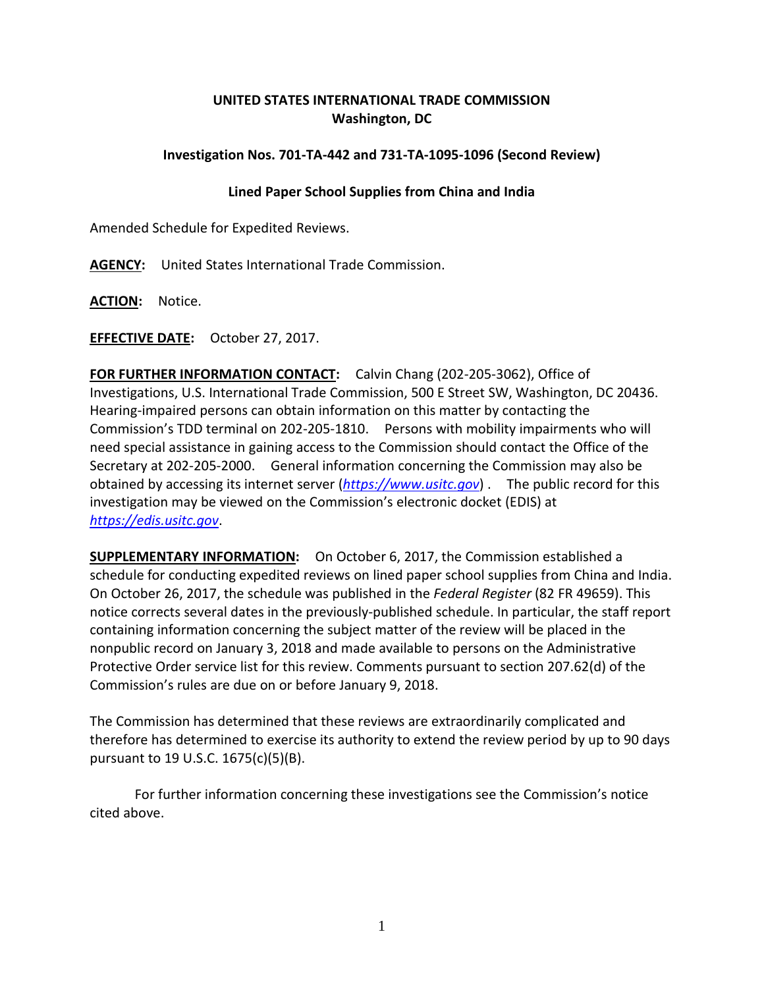## **UNITED STATES INTERNATIONAL TRADE COMMISSION Washington, DC**

## **Investigation Nos. 701-TA-442 and 731-TA-1095-1096 (Second Review)**

## **Lined Paper School Supplies from China and India**

Amended Schedule for Expedited Reviews.

**AGENCY:** United States International Trade Commission.

**ACTION:** Notice.

**EFFECTIVE DATE:** October 27, 2017.

**FOR FURTHER INFORMATION CONTACT:** Calvin Chang (202-205-3062), Office of Investigations, U.S. International Trade Commission, 500 E Street SW, Washington, DC 20436. Hearing-impaired persons can obtain information on this matter by contacting the Commission's TDD terminal on 202-205-1810. Persons with mobility impairments who will need special assistance in gaining access to the Commission should contact the Office of the Secretary at 202-205-2000. General information concerning the Commission may also be obtained by accessing its internet server (*[https://www.usitc.gov](https://www.usitc.gov/)*) . The public record for this investigation may be viewed on the Commission's electronic docket (EDIS) at *[https://edis.usitc.gov](https://edis.usitc.gov/)*.

**SUPPLEMENTARY INFORMATION:** On October 6, 2017, the Commission established a schedule for conducting expedited reviews on lined paper school supplies from China and India. On October 26, 2017, the schedule was published in the *Federal Register* (82 FR 49659). This notice corrects several dates in the previously-published schedule. In particular, the staff report containing information concerning the subject matter of the review will be placed in the nonpublic record on January 3, 2018 and made available to persons on the Administrative Protective Order service list for this review. Comments pursuant to section 207.62(d) of the Commission's rules are due on or before January 9, 2018.

The Commission has determined that these reviews are extraordinarily complicated and therefore has determined to exercise its authority to extend the review period by up to 90 days pursuant to 19 U.S.C. 1675(c)(5)(B).

For further information concerning these investigations see the Commission's notice cited above.